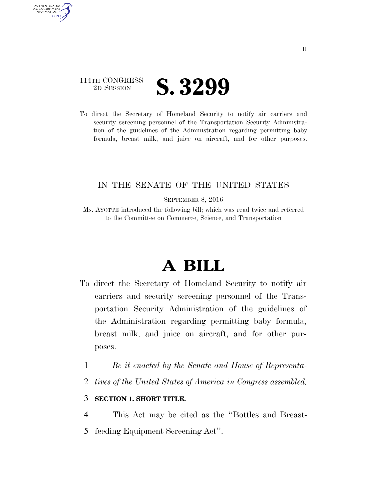## 114TH CONGRESS **2D SESSION S. 3299**

AUTHENTICATED U.S. GOVERNMENT **GPO** 

> To direct the Secretary of Homeland Security to notify air carriers and security screening personnel of the Transportation Security Administration of the guidelines of the Administration regarding permitting baby formula, breast milk, and juice on aircraft, and for other purposes.

## IN THE SENATE OF THE UNITED STATES

SEPTEMBER 8, 2016

Ms. AYOTTE introduced the following bill; which was read twice and referred to the Committee on Commerce, Science, and Transportation

## **A BILL**

- To direct the Secretary of Homeland Security to notify air carriers and security screening personnel of the Transportation Security Administration of the guidelines of the Administration regarding permitting baby formula, breast milk, and juice on aircraft, and for other purposes.
	- 1 *Be it enacted by the Senate and House of Representa-*
	- 2 *tives of the United States of America in Congress assembled,*

## 3 **SECTION 1. SHORT TITLE.**

4 This Act may be cited as the ''Bottles and Breast-

5 feeding Equipment Screening Act''.